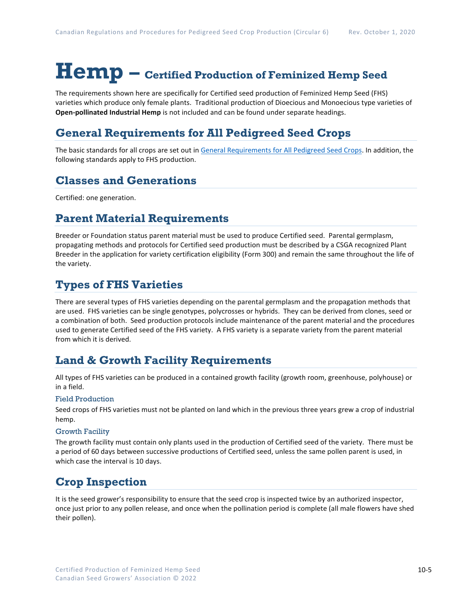# **Hemp – Certified Production of Feminized Hemp Seed**

The requirements shown here are specifically for Certified seed production of Feminized Hemp Seed (FHS) varieties which produce only female plants. Traditional production of Dioecious and Monoecious type varieties of **Open-pollinated Industrial Hemp** is not included and can be found under separate headings.

# **General Requirements for All Pedigreed Seed Crops**

The basic standards for all crops are set out i[n General Requirements for All Pedigreed Seed](https://seedgrowers.ca/wp-content/uploads/2020/01/GENERAL-REQUIREMENTS-ALL-CROPS_EN.pdf) Crops. In addition, the following standards apply to FHS production.

### **Classes and Generations**

Certified: one generation.

## **Parent Material Requirements**

Breeder or Foundation status parent material must be used to produce Certified seed. Parental germplasm, propagating methods and protocols for Certified seed production must be described by a CSGA recognized Plant Breeder in the application for variety certification eligibility (Form 300) and remain the same throughout the life of the variety.

## **Types of FHS Varieties**

There are several types of FHS varieties depending on the parental germplasm and the propagation methods that are used. FHS varieties can be single genotypes, polycrosses or hybrids. They can be derived from clones, seed or a combination of both. Seed production protocols include maintenance of the parent material and the procedures used to generate Certified seed of the FHS variety. A FHS variety is a separate variety from the parent material from which it is derived.

## **Land & Growth Facility Requirements**

All types of FHS varieties can be produced in a contained growth facility (growth room, greenhouse, polyhouse) or in a field.

### Field Production

Seed crops of FHS varieties must not be planted on land which in the previous three years grew a crop of industrial hemp.

### Growth Facility

The growth facility must contain only plants used in the production of Certified seed of the variety. There must be a period of 60 days between successive productions of Certified seed, unless the same pollen parent is used, in which case the interval is 10 days.

# **Crop Inspection**

It is the seed grower's responsibility to ensure that the seed crop is inspected twice by an authorized inspector, once just prior to any pollen release, and once when the pollination period is complete (all male flowers have shed their pollen).